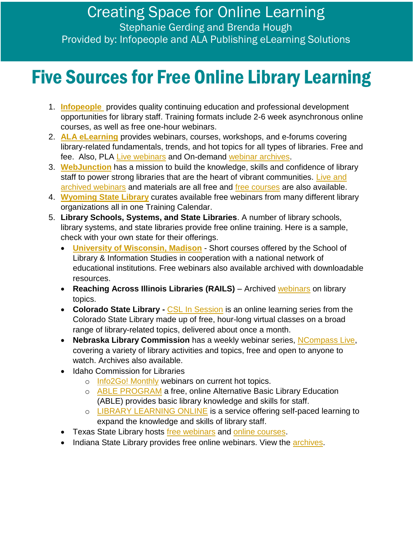## Five Sources for Free Online Library Learning

- 1. **[Infopeople](http://www.infopeople.org/)** provides quality continuing education and professional development opportunities for library staff. Training formats include 2-6 week asynchronous online courses, as well as free one-hour webinars.
- 2. **[ALA eLearning](http://www.ala.org/educationcareers/elearning)** provides webinars, courses, workshops, and e-forums covering library-related fundamentals, trends, and hot topics for all types of libraries. Free and fee. Also, PLA [Live webinars](http://www.ala.org/pla/education/onlinelearning/webinars) and On-demand [webinar archives.](http://www.ala.org/pla/education/onlinelearning/webinars/ondemand)
- 3. **[WebJunction](file:///C:/Users/bckhough/AppData/Local/Temp/webjunction.org)** has a mission to build the knowledge, skills and confidence of library staff to power strong libraries that are the heart of vibrant communities. Live and [archived webinars](https://www.webjunction.org/events/webjunction.html) and materials are all free and [free courses](https://learn.webjunction.org/) are also available.
- 4. **[Wyoming State Library](https://library.wyo.gov/services/training/calendar)** curates available free webinars from many different library organizations all in one Training Calendar.
- 5. **Library Schools, Systems, and State Libraries**. A number of library schools, library systems, and state libraries provide free online training. Here is a sample, check with your own state for their offerings.
	- **[University of Wisconsin, Madison](https://ischool.wisc.edu/continuing-education/free-webinars)** Short courses offered by the School of Library & Information Studies in cooperation with a national network of educational institutions. Free webinars also available archived with downloadable resources.
	- **Reaching Across Illinois Libraries (RAILS)** Archived [webinars](http://www.railslibraries.info/ce/archives) on library topics.
	- **Colorado State Library [CSL In Session](http://cslinsession.cvlsites.org/)** is an online learning series from the Colorado State Library made up of free, hour-long virtual classes on a broad range of library-related topics, delivered about once a month.
	- **Nebraska Library Commission** has a weekly webinar series, [NCompass Live,](https://nlc.nebraska.gov/ncompasslive) covering a variety of library activities and topics, free and open to anyone to watch. Archives also available.
	- Idaho Commission for Libraries
		- o [Info2Go! Monthly](http://libraries.idaho.gov/page/info2go) webinars on current hot topics.
		- o [ABLE PROGRAM](http://libraries.idaho.gov/page/able) a free, online Alternative Basic Library Education (ABLE) provides basic library knowledge and skills for staff.
		- o [LIBRARY LEARNING ONLINE](http://libraries.idaho.gov/learningonline) is a service offering self-paced learning to expand the knowledge and skills of library staff.
	- Texas State Library hosts [free webinars](https://www.tsl.texas.gov/ld/workshops/webinars/index.html) and [online courses.](https://onlinetraining.tsl.texas.gov/)
	- Indiana State Library provides free online webinars. View the [archives.](https://continuinged.isl.in.gov/find-training/archived-trainings)